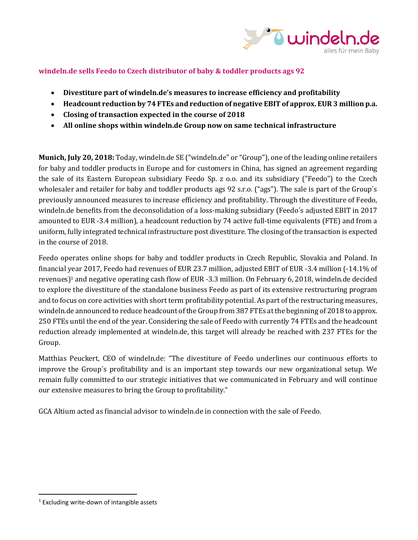

# **windeln.de sells Feedo to Czech distributor of baby & toddler products ags 92**

- **Divestiture part of windeln.de's measures to increase efficiency and profitability**
- **Headcount reduction by 74 FTEs and reduction of negative EBIT of approx. EUR 3 million p.a.**
- **Closing of transaction expected in the course of 2018**
- **All online shops within windeln.de Group now on same technical infrastructure**

**Munich, July 20, 2018:** Today, windeln.de SE ("windeln.de" or "Group"), one of the leading online retailers for baby and toddler products in Europe and for customers in China, has signed an agreement regarding the sale of its Eastern European subsidiary Feedo Sp. z o.o. and its subsidiary ("Feedo") to the Czech wholesaler and retailer for baby and toddler products ags 92 s.r.o. ("ags"). The sale is part of the Group's previously announced measures to increase efficiency and profitability. Through the divestiture of Feedo, windeln.de benefits from the deconsolidation of a loss-making subsidiary (Feedo´s adjusted EBIT in 2017 amounted to EUR -3.4 million), a headcount reduction by 74 active full-time equivalents (FTE) and from a uniform, fully integrated technical infrastructure post divestiture. The closing of the transaction is expected in the course of 2018.

Feedo operates online shops for baby and toddler products in Czech Republic, Slovakia and Poland. In financial year 2017, Feedo had revenues of EUR 23.7 million, adjusted EBIT of EUR -3.4 million (-14.1% of revenues)<sup>1</sup> and negative operating cash flow of EUR -3.3 million. On February 6, 2018, windeln.de decided to explore the divestiture of the standalone business Feedo as part of its extensive restructuring program and to focus on core activities with short term profitability potential. As part of the restructuring measures, windeln.de announced to reduce headcount of the Group from 387 FTEs at the beginning of 2018 to approx. 250 FTEs until the end of the year. Considering the sale of Feedo with currently 74 FTEs and the headcount reduction already implemented at windeln.de, this target will already be reached with 237 FTEs for the Group.

Matthias Peuckert, CEO of windeln.de: "The divestiture of Feedo underlines our continuous efforts to improve the Group´s profitability and is an important step towards our new organizational setup. We remain fully committed to our strategic initiatives that we communicated in February and will continue our extensive measures to bring the Group to profitability."

GCA Altium acted as financial advisor to windeln.de in connection with the sale of Feedo.

 $\overline{\phantom{a}}$ 

 $1$  Excluding write-down of intangible assets